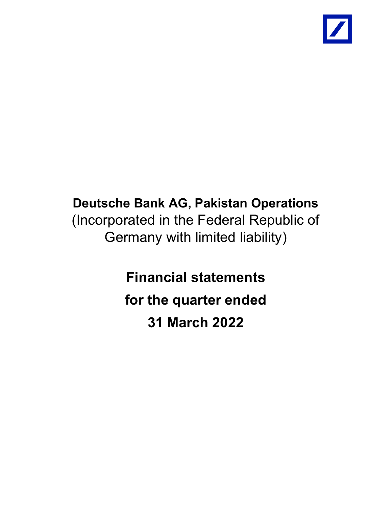

# Deutsche Bank AG, Pakistan Operations (Incorporated in the Federal Republic of Germany with limited liability)

Financial statements for the quarter ended 31 March 2022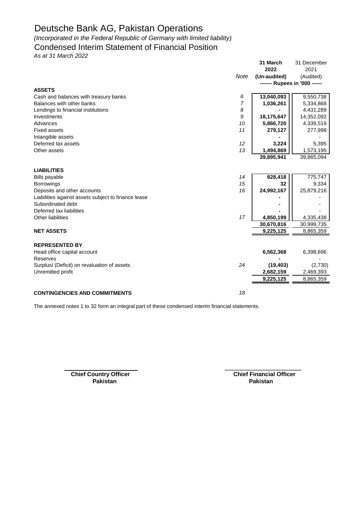*(Incorporated in the Federal Republic of Germany with limited liability)*

### Condensed Interim Statement of Financial Position

*As at 31 March 2022*

|                                                     |                | 31 March                      | 31 December |
|-----------------------------------------------------|----------------|-------------------------------|-------------|
|                                                     |                | 2022                          | 2021        |
|                                                     | Note           | (Un-audited)                  | (Audited)   |
|                                                     |                | ------- Rupees in '000 ------ |             |
| <b>ASSETS</b>                                       |                |                               |             |
| Cash and balances with treasury banks               | 6              | 13,040,093                    | 9,550,738   |
| Balances with other banks                           | $\overline{7}$ | 1,036,261                     | 5,334,868   |
| Lendings to financial institutions                  | 8              |                               | 4,431,289   |
| Investments                                         | 9              | 18,175,647                    | 14,352,092  |
| Advances                                            | 10             | 5,866,720                     | 4,339,519   |
| <b>Fixed assets</b>                                 | 11             | 279,127                       | 277,998     |
| Intangible assets                                   |                |                               |             |
| Deferred tax assets                                 | 12             | 3,224                         | 5,395       |
| Other assets                                        | 13             | 1,494,869                     | 1,573,195   |
|                                                     |                | 39,895,941                    | 39,865,094  |
|                                                     |                |                               |             |
| <b>LIABILITIES</b>                                  |                |                               |             |
| <b>Bills payable</b>                                | 14             | 828,418                       | 775,747     |
| <b>Borrowings</b>                                   | 15             | 32                            | 9,334       |
| Deposits and other accounts                         | 16             | 24,992,167                    | 25,879,216  |
| Liabilities against assets subject to finance lease |                |                               |             |
| Subordinated debt                                   |                |                               |             |
| Deferred tax liabilities                            |                |                               |             |
| Other liabilities                                   | 17             | 4,850,199                     | 4,335,438   |
|                                                     |                | 30,670,816                    | 30,999,735  |
| <b>NET ASSETS</b>                                   |                | 9,225,125                     | 8,865,359   |
|                                                     |                |                               |             |
| <b>REPRESENTED BY</b>                               |                |                               |             |
| Head office capital account                         |                | 6,562,368                     | 6,398,696   |
| Reserves                                            |                |                               |             |
| Surplus/ (Deficit) on revaluation of assets         | 24             | (19, 403)                     | (2,730)     |
| Unremitted profit                                   |                | 2,682,159                     | 2,469,393   |
|                                                     |                | 9,225,125                     | 8,865,359   |
|                                                     |                |                               |             |
| <b>CONTINGENCIES AND COMMITMENTS</b>                | 18             |                               |             |

The annexed notes 1 to 32 form an integral part of these condensed interim financial statements.

**Chief Country Officer Chief Financial Officer Pakistan Pakistan**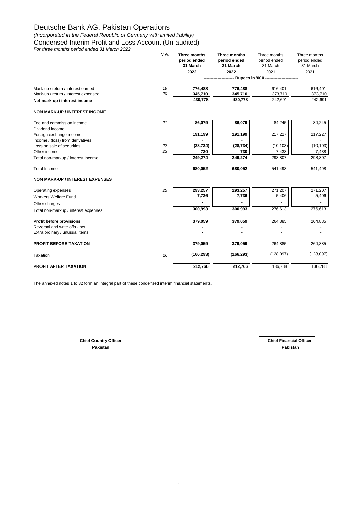*(Incorporated in the Federal Republic of Germany with limited liability)*

Condensed Interim Profit and Loss Account (Un-audited)

*For three months period ended 31 March 2022*

|                                        | Note | Three months<br>period ended<br>31 March<br>2022 | Three months<br>period ended<br>31 March<br>2022 | Three months<br>period ended<br>31 March<br>2021 | Three months<br>period ended<br>31 March<br>2021 |
|----------------------------------------|------|--------------------------------------------------|--------------------------------------------------|--------------------------------------------------|--------------------------------------------------|
|                                        |      |                                                  |                                                  | -- Rupees in '000 --------------------           |                                                  |
| Mark-up / return / interest earned     | 19   | 776,488                                          | 776,488                                          | 616,401                                          | 616,401                                          |
| Mark-up / return / interest expensed   | 20   | 345,710                                          | 345,710                                          | 373,710                                          | 373,710                                          |
| Net mark-up / interest income          |      | 430,778                                          | 430,778                                          | 242,691                                          | 242,691                                          |
| <b>NON MARK-UP / INTEREST INCOME</b>   |      |                                                  |                                                  |                                                  |                                                  |
| Fee and commission income              | 21   | 86,079                                           | 86,079                                           | 84,245                                           | 84,245                                           |
| Dividend income                        |      |                                                  |                                                  |                                                  |                                                  |
| Foreign exchange income                |      | 191,199                                          | 191,199                                          | 217,227                                          | 217,227                                          |
| Income / (loss) from derivatives       |      |                                                  |                                                  |                                                  |                                                  |
| Loss on sale of securities             | 22   | (28, 734)                                        | (28, 734)                                        | (10, 103)                                        | (10, 103)                                        |
| Other income                           | 23   | 730                                              | 730                                              | 7,438                                            | 7,438                                            |
| Total non-markup / interest Income     |      | 249,274                                          | 249,274                                          | 298,807                                          | 298,807                                          |
| <b>Total Income</b>                    |      | 680,052                                          | 680,052                                          | 541,498                                          | 541,498                                          |
| <b>NON MARK-UP / INTEREST EXPENSES</b> |      |                                                  |                                                  |                                                  |                                                  |
| Operating expenses                     | 25   | 293,257                                          | 293,257                                          | 271,207                                          | 271,207                                          |
| Workers Welfare Fund                   |      | 7,736                                            | 7,736                                            | 5,406                                            | 5,406                                            |
| Other charges                          |      |                                                  |                                                  |                                                  |                                                  |
| Total non-markup / interest expenses   |      | 300,993                                          | 300,993                                          | 276,613                                          | 276,613                                          |
| Profit before provisions               |      | 379,059                                          | 379,059                                          | 264,885                                          | 264,885                                          |
| Reversal and write offs - net          |      |                                                  |                                                  |                                                  |                                                  |
| Extra ordinary / unusual items         |      |                                                  |                                                  |                                                  |                                                  |
| <b>PROFIT BEFORE TAXATION</b>          |      | 379,059                                          | 379,059                                          | 264,885                                          | 264,885                                          |
| Taxation                               | 26   | (166, 293)                                       | (166, 293)                                       | (128, 097)                                       | (128,097)                                        |
| <b>PROFIT AFTER TAXATION</b>           |      | 212,766                                          | 212,766                                          | 136,788                                          | 136,788                                          |

The annexed notes 1 to 32 form an integral part of these condensed interim financial statements.

**Chief Country Officer Chief Financial Officer Pakistan Pakistan**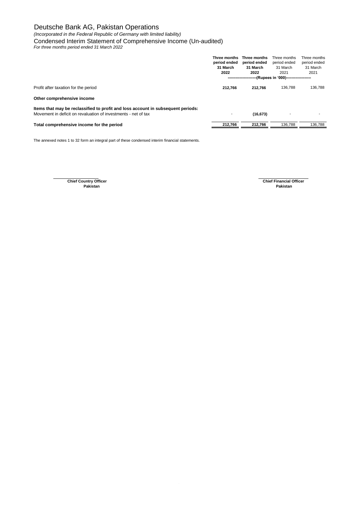*(Incorporated in the Federal Republic of Germany with limited liability)*

Condensed Interim Statement of Comprehensive Income (Un-audited)

*For three months period ended 31 March 2022*

|                                                                                                                                                    | Three months<br>period ended<br>31 March<br>2022 | Three months<br>period ended<br>31 March<br>2022<br>-----------------------(Rupees in '000)-------------------- | Three months<br>period ended<br>31 March<br>2021 | Three months<br>period ended<br>31 March<br>2021 |
|----------------------------------------------------------------------------------------------------------------------------------------------------|--------------------------------------------------|-----------------------------------------------------------------------------------------------------------------|--------------------------------------------------|--------------------------------------------------|
| Profit after taxation for the period                                                                                                               | 212.766                                          | 212.766                                                                                                         | 136.788                                          | 136.788                                          |
| Other comprehensive income                                                                                                                         |                                                  |                                                                                                                 |                                                  |                                                  |
| Items that may be reclassified to profit and loss account in subsequent periods:<br>Movement in deficit on revaluation of investments - net of tax | $\overline{\phantom{a}}$                         | (16, 673)                                                                                                       | $\blacksquare$                                   |                                                  |
| Total comprehensive income for the period                                                                                                          | 212,766                                          | 212.766                                                                                                         | 136.788                                          | 136.788                                          |
|                                                                                                                                                    |                                                  |                                                                                                                 |                                                  |                                                  |

The annexed notes 1 to 32 form an integral part of these condensed interim financial statements.

**Pakistan Pakistan**

**Chief Financial Officer<br>Pakistan**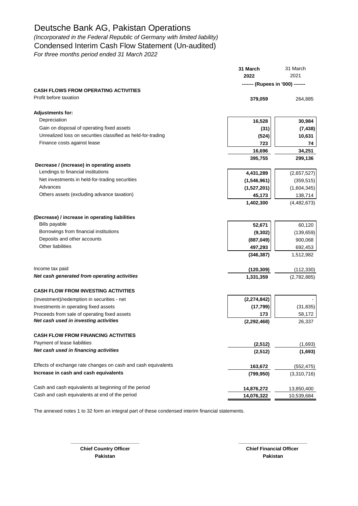*(Incorporated in the Federal Republic of Germany with limited liability)* Condensed Interim Cash Flow Statement (Un-audited)

*For three months period ended 31 March 2022*

|                                                               | 31 March<br>2022                 | 31 March<br>2021 |
|---------------------------------------------------------------|----------------------------------|------------------|
|                                                               | ------- (Rupees in '000) ------- |                  |
| <b>CASH FLOWS FROM OPERATING ACTIVITIES</b>                   |                                  |                  |
| Profit before taxation                                        | 379,059                          | 264,885          |
| <b>Adjustments for:</b>                                       |                                  |                  |
| Depreciation                                                  | 16,528                           | 30,984           |
| Gain on disposal of operating fixed assets                    | (31)                             | (7, 438)         |
| Unrealized loss on securities classified as held-for-trading  | (524)                            | 10,631           |
| Finance costs against lease                                   | 723                              | 74               |
|                                                               | 16,696                           | 34,251           |
|                                                               | 395,755                          | 299,136          |
| Decrease / (increase) in operating assets                     |                                  |                  |
| Lendings to financial institutions                            | 4,431,289                        | (2,657,527)      |
| Net investments in held-for-trading securities                | (1,546,961)                      | (359, 515)       |
| Advances                                                      | (1,527,201)                      | (1,604,345)      |
| Others assets (excluding advance taxation)                    | 45,173                           | 138,714          |
|                                                               | 1,402,300                        | (4,482,673)      |
| (Decrease) / increase in operating liabilities                |                                  |                  |
| <b>Bills payable</b>                                          | 52,671                           | 60,120           |
| Borrowings from financial institutions                        | (9, 302)                         | (139, 659)       |
| Deposits and other accounts                                   | (887, 049)                       | 900,068          |
| <b>Other liabilities</b>                                      | 497,293                          | 692,453          |
|                                                               | (346, 387)                       | 1,512,982        |
| Income tax paid                                               | (120, 309)                       | (112, 330)       |
| Net cash generated from operating activities                  | 1,331,359                        | (2,782,885)      |
| <b>CASH FLOW FROM INVESTING ACTIVITIES</b>                    |                                  |                  |
| (Investment)/redemption in securities - net                   | (2, 274, 842)                    |                  |
| Investments in operating fixed assets                         | (17, 799)                        | (31, 835)        |
| Proceeds from sale of operating fixed assets                  | 173                              | 58,172           |
| Net cash used in investing activities                         | (2, 292, 468)                    | 26,337           |
| <b>CASH FLOW FROM FINANCING ACTIVITIES</b>                    |                                  |                  |
| Payment of lease liabilities                                  | (2, 512)                         | (1,693)          |
| Net cash used in financing activities                         | (2, 512)                         | (1,693)          |
| Effects of exchange rate changes on cash and cash equivalents | 163,672                          | (552, 475)       |
| Increase in cash and cash equivalents                         | (799, 950)                       | (3,310,716)      |
|                                                               |                                  |                  |
| Cash and cash equivalents at beginning of the period          | 14,876,272                       | 13,850,400       |
| Cash and cash equivalents at end of the period                | 14,076,322                       | 10,539,684       |
|                                                               |                                  |                  |

**\_\_\_\_\_\_\_\_\_\_\_\_\_\_\_\_\_\_\_\_\_\_\_\_\_ \_\_\_\_\_\_\_\_\_\_\_\_\_\_\_\_\_\_\_\_\_\_\_\_\_**

The annexed notes 1 to 32 form an integral part of these condensed interim financial statements.

**Chief Country Officer Chief Financial Officer Pakistan Pakistan**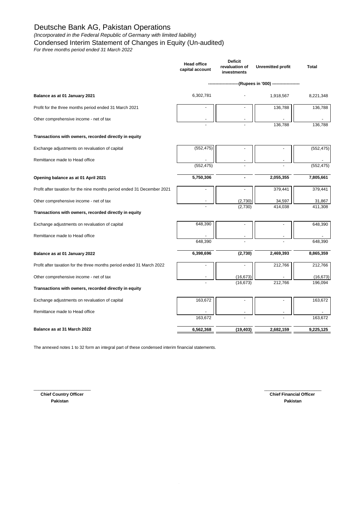#### *(Incorporated in the Federal Republic of Germany with limited liability)*

Condensed Interim Statement of Changes in Equity (Un-audited)

*For three months period ended 31 March 2022*

| (Rupees in '000) -------------------<br>6,302,781<br>Balance as at 01 January 2021<br>Profit for the three months period ended 31 March 2021<br>Other comprehensive income - net of tax<br>Transactions with owners, recorded directly in equity<br>(552, 475)<br>Exchange adjustments on revaluation of capital<br>Remittance made to Head office<br>(552, 475)<br>5,750,306<br>Opening balance as at 01 April 2021<br>Profit after taxation for the nine months period ended 31 December 2021<br>Other comprehensive income - net of tax<br>(2,730)<br>(2,730)<br>Transactions with owners, recorded directly in equity<br>648,390<br>Exchange adjustments on revaluation of capital | 1,918,567<br>8,221,348<br>136,788<br>136,788<br>136,788<br>136.788<br>(552, 475)<br>(552, 475)<br>2,055,355<br>7,805,661 |  |
|----------------------------------------------------------------------------------------------------------------------------------------------------------------------------------------------------------------------------------------------------------------------------------------------------------------------------------------------------------------------------------------------------------------------------------------------------------------------------------------------------------------------------------------------------------------------------------------------------------------------------------------------------------------------------------------|--------------------------------------------------------------------------------------------------------------------------|--|
|                                                                                                                                                                                                                                                                                                                                                                                                                                                                                                                                                                                                                                                                                        |                                                                                                                          |  |
|                                                                                                                                                                                                                                                                                                                                                                                                                                                                                                                                                                                                                                                                                        |                                                                                                                          |  |
|                                                                                                                                                                                                                                                                                                                                                                                                                                                                                                                                                                                                                                                                                        |                                                                                                                          |  |
|                                                                                                                                                                                                                                                                                                                                                                                                                                                                                                                                                                                                                                                                                        |                                                                                                                          |  |
|                                                                                                                                                                                                                                                                                                                                                                                                                                                                                                                                                                                                                                                                                        |                                                                                                                          |  |
|                                                                                                                                                                                                                                                                                                                                                                                                                                                                                                                                                                                                                                                                                        |                                                                                                                          |  |
|                                                                                                                                                                                                                                                                                                                                                                                                                                                                                                                                                                                                                                                                                        |                                                                                                                          |  |
|                                                                                                                                                                                                                                                                                                                                                                                                                                                                                                                                                                                                                                                                                        |                                                                                                                          |  |
|                                                                                                                                                                                                                                                                                                                                                                                                                                                                                                                                                                                                                                                                                        |                                                                                                                          |  |
|                                                                                                                                                                                                                                                                                                                                                                                                                                                                                                                                                                                                                                                                                        | 379,441<br>379,441                                                                                                       |  |
|                                                                                                                                                                                                                                                                                                                                                                                                                                                                                                                                                                                                                                                                                        | 31,867<br>34,597                                                                                                         |  |
|                                                                                                                                                                                                                                                                                                                                                                                                                                                                                                                                                                                                                                                                                        | 411,308<br>414,038                                                                                                       |  |
|                                                                                                                                                                                                                                                                                                                                                                                                                                                                                                                                                                                                                                                                                        | 648,390                                                                                                                  |  |
| Remittance made to Head office                                                                                                                                                                                                                                                                                                                                                                                                                                                                                                                                                                                                                                                         |                                                                                                                          |  |
| 648,390                                                                                                                                                                                                                                                                                                                                                                                                                                                                                                                                                                                                                                                                                | 648,390                                                                                                                  |  |
| 6,398,696<br>(2,730)<br>Balance as at 01 January 2022                                                                                                                                                                                                                                                                                                                                                                                                                                                                                                                                                                                                                                  | 8,865,359<br>2,469,393                                                                                                   |  |
| Profit after taxation for the three months period ended 31 March 2022                                                                                                                                                                                                                                                                                                                                                                                                                                                                                                                                                                                                                  | 212,766<br>212,766                                                                                                       |  |
| Other comprehensive income - net of tax<br>(16, 673)                                                                                                                                                                                                                                                                                                                                                                                                                                                                                                                                                                                                                                   | (16, 673)                                                                                                                |  |
| (16, 673)<br>Transactions with owners, recorded directly in equity                                                                                                                                                                                                                                                                                                                                                                                                                                                                                                                                                                                                                     | 212,766<br>196,094                                                                                                       |  |
| 163,672<br>Exchange adjustments on revaluation of capital                                                                                                                                                                                                                                                                                                                                                                                                                                                                                                                                                                                                                              | 163,672                                                                                                                  |  |
| Remittance made to Head office                                                                                                                                                                                                                                                                                                                                                                                                                                                                                                                                                                                                                                                         |                                                                                                                          |  |
| 163,672                                                                                                                                                                                                                                                                                                                                                                                                                                                                                                                                                                                                                                                                                | 163,672                                                                                                                  |  |
| Balance as at 31 March 2022<br>6,562,368<br>(19, 403)                                                                                                                                                                                                                                                                                                                                                                                                                                                                                                                                                                                                                                  | 9,225,125<br>2,682,159                                                                                                   |  |

\_\_\_\_\_\_\_\_\_\_\_\_\_\_\_\_\_\_\_\_\_\_\_\_ \_\_\_\_\_\_\_\_\_\_\_\_\_\_\_\_\_\_\_\_\_\_\_\_

The annexed notes 1 to 32 form an integral part of these condensed interim financial statements.

 **Chief Country Officer Pakistan Pakistan**

**Chief Financial Officer**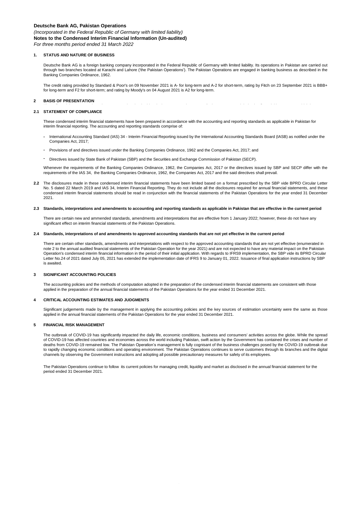*(Incorporated in the Federal Republic of Germany with limited liability)*

**Notes to the Condensed Interim Financial Information (Un-audited)**

*For three months period ended 31 March 2022*

#### **1. STATUS AND NATURE OF BUSINESS**

Deutsche Bank AG is a foreign banking company incorporated in the Federal Republic of Germany with limited liability. Its operations in Pakistan are carried out through two branches located at Karachi and Lahore ('the Pakistan Operations'). The Pakistan Operations are engaged in banking business as described in the Banking Companies Ordinance, 1962.

The credit rating provided by Standard & Poor's on 09 November 2021 is A- for long-term and A-2 for short-term, rating by Fitch on 23 September 2021 is BBB+ for long-term and F2 for short-term; and rating by Moody's on 04 August 2021 is A2 for long-term.

#### **2 BASIS OF PRESENTATION**

#### **2.1 STATEMENT OF COMPLIANCE**

These condensed interim financial statements have been prepared in accordance with the accounting and reporting standards as applicable in Pakistan for interim financial reporting. The accounting and reporting standards comprise of:

- **-** International Accounting Standard (IAS) 34 - Interim Financial Reporting issued by the International Accounting Standards Board (IASB) as notified under the Companies Act, 2017;
- **-** Provisions of and directives issued under the Banking Companies Ordinance, 1962 and the Companies Act, 2017; and
- **-** Directives issued by State Bank of Pakistan (SBP) and the Securities and Exchange Commission of Pakistan (SECP).

Whenever the requirements of the Banking Companies Ordinance, 1962, the Companies Act, 2017 or the directives issued by SBP and SECP differ with the requirements of the IAS 34, the Banking Companies Ordinance, 1962, the Companies Act, 2017 and the said directives shall prevail.

**2.2** The disclosures made in these condensed interim financial statements have been limited based on a format prescribed by the SBP vide BPRD Circular Letter No. 5 dated 22 March 2019 and IAS 34, Interim Financial Reporting. They do not include all the disclosures required for annual financial statements, and these condensed interim financial statements should be read in conjunction with the financial statements of the Pakistan Operations for the year ended 31 December 2021.

#### **2.3 Standards, interpretations and amendments to accounting and reporting standards as applicable in Pakistan that are effective in the current period**

There are certain new and ammended standards, amendments and interpretations that are effective from 1 January 2022; however, these do not have any significant effect on interim financial statements of the Pakistan Operations.

#### **2.4 Standards, interpretations of and amendments to approved accounting standards that are not yet effective in the current period**

There are certain other standards, amendments and interpretations with respect to the approved accounting standards that are not yet effective (enumerated in note 2 to the annual audited financial statements of the Pakistan Operation for the year 2021) and are not expected to have any material impact on the Pakistan Operation's condensed interim financial information in the period of their initial application. With regards to IFRS9 implementation, the SBP vide its BPRD Circular Letter No.24 of 2021 dated July 05, 2021 has extended the implementation date of IFRS 9 to January 01, 2022. Issuance of final application instructions by SBP is awaited.

#### **3 SIGNIFICANT ACCOUNTING POLICIES**

The accounting policies and the methods of computation adopted in the preparation of the condensed interim financial statements are consistent with those applied in the preparation of the annual financial statements of the Pakistan Operations for the year ended 31 December 2021.

#### **4 CRITICAL ACCOUNTING ESTIMATES AND JUDGMENTS**

Significant judgements made by the management in applying the accounting policies and the key sources of estimation uncertainty were the same as those applied in the annual financial statements of the Pakistan Operations for the year ended 31 December 2021.

#### **5 FINANCIAL RISK MANAGEMENT**

The outbreak of COVID-19 has significantly impacted the daily life, economic conditions, business and consumers' activities across the globe. While the spread of COVID-19 has affected countries and economies across the world including Pakistan, swift action by the Government has contained the crises and number of deaths from COVID-19 remained low. The Pakistan Operation's management is fully cognisant of the business challenges posed by the COVID-19 outbreak due to rapidly changing economic conditions and operating environment. The Pakistan Operations continues to serve customers through its branches and the digital channels by observing the Government instructions and adopting all possible precautionary measures for safety of its employees.

The Pakistan Operations continue to follow its current policies for managing credit, liquidity and market as disclosed in the annual financial statement for the period ended 31 December 2021.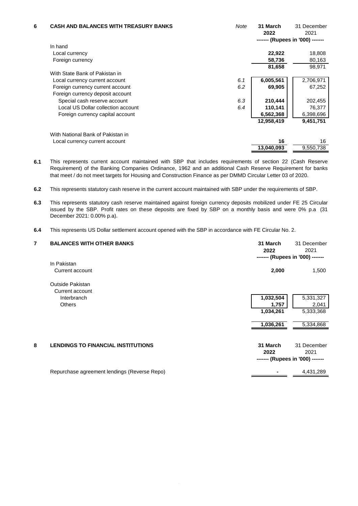| 6 | <b>CASH AND BALANCES WITH TREASURY BANKS</b> | Note | 31 March<br>2022                 | 31 December<br>2021 |
|---|----------------------------------------------|------|----------------------------------|---------------------|
|   |                                              |      | ------- (Rupees in '000) ------- |                     |
|   | In hand                                      |      |                                  |                     |
|   | Local currency                               |      | 22,922                           | 18,808              |
|   | Foreign currency                             |      | 58,736                           | 80,163              |
|   |                                              |      | 81,658                           | 98,971              |
|   | With State Bank of Pakistan in               |      |                                  |                     |
|   | Local currency current account               | 6.1  | 6,005,561                        | 2,706,971           |
|   | Foreign currency current account             | 6.2  | 69,905                           | 67,252              |
|   | Foreign currency deposit account             |      |                                  |                     |
|   | Special cash reserve account                 | 6.3  | 210,444                          | 202,455             |
|   | Local US Dollar collection account           | 6.4  | 110,141                          | 76,377              |
|   | Foreign currency capital account             |      | 6,562,368                        | 6,398,696           |
|   |                                              |      | 12,958,419                       | 9,451,751           |
|   | With National Bank of Pakistan in            |      |                                  |                     |
|   | Local currency current account               |      | 16                               | 16                  |
|   |                                              |      | 13,040,093                       | 9,550,738           |

**6.1** This represents current account maintained with SBP that includes requirements of section 22 (Cash Reserve Requirement) of the Banking Companies Ordinance, 1962 and an additional Cash Reserve Requirement for banks that meet / do not meet targets for Housing and Construction Finance as per DMMD Circular Letter 03 of 2020.

**6.2** This represents statutory cash reserve in the current account maintained with SBP under the requirements of SBP.

**6.3** This represents statutory cash reserve maintained against foreign currency deposits mobilized under FE 25 Circular issued by the SBP. Profit rates on these deposits are fixed by SBP on a monthly basis and were 0% p.a (31 December 2021: 0.00% p.a).

**6.4** This represents US Dollar settlement account opened with the SBP in accordance with FE Circular No. 2.

| 7 | <b>BALANCES WITH OTHER BANKS</b>             | 31 March<br>2022 | 31 December<br>2021<br>------- (Rupees in '000) ------- |
|---|----------------------------------------------|------------------|---------------------------------------------------------|
|   | In Pakistan                                  |                  |                                                         |
|   | Current account                              | 2,000            | 1,500                                                   |
|   | Outside Pakistan<br>Current account          |                  |                                                         |
|   | Interbranch                                  | 1,032,504        | 5,331,327                                               |
|   | <b>Others</b>                                | 1,757            | 2,041                                                   |
|   |                                              | 1,034,261        | 5,333,368                                               |
|   |                                              | 1,036,261        | 5,334,868                                               |
| 8 | <b>LENDINGS TO FINANCIAL INSTITUTIONS</b>    | 31 March<br>2022 | 31 December<br>2021<br>------- (Rupees in '000) ------- |
|   | Repurchase agreement lendings (Reverse Repo) |                  | 4,431,289                                               |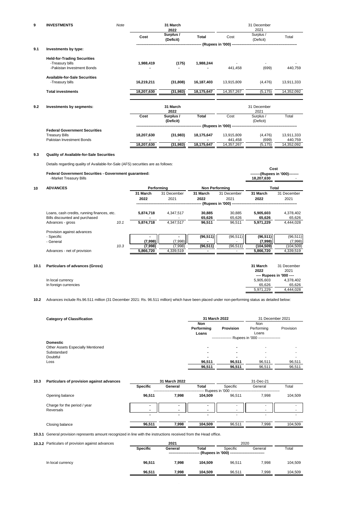| 9   | <b>INVESTMENTS</b>                   | Note |            | 31 March<br>2022       |                        |            | 31 December<br>2021    |            |
|-----|--------------------------------------|------|------------|------------------------|------------------------|------------|------------------------|------------|
|     |                                      |      | Cost       | Surplus /<br>(Deficit) | Total                  | Cost       | Surplus /<br>(Deficit) | Total      |
|     |                                      |      |            |                        |                        |            |                        |            |
| 9.1 | Investments by type:                 |      |            |                        |                        |            |                        |            |
|     | <b>Held-for-Trading Securities</b>   |      |            |                        |                        |            |                        |            |
|     | -Treasury bills                      |      | 1,988,419  | (175)                  | 1,988,244              |            |                        |            |
|     | -Pakistan Investment Bonds           |      |            |                        |                        | 441,458    | (699)                  | 440,759    |
|     | <b>Available-for-Sale Securities</b> |      |            |                        |                        |            |                        |            |
|     | -Treasury bills                      |      | 16,219,211 | (31, 808)              | 16,187,403             | 13,915,809 | (4, 476)               | 13,911,333 |
|     | <b>Total investments</b>             |      | 18,207,630 | (31, 983)              | 18,175,647             | 14,357,267 | (5, 175)               | 14,352,092 |
| 9.2 | Investments by segments:             |      |            | 31 March<br>2022       |                        |            | 31 December<br>2021    |            |
|     |                                      |      | Cost       | Surplus /              | Total                  | Cost       | Surplus /              | Total      |
|     |                                      |      |            | (Deficit)              |                        |            | (Deficit)              |            |
|     |                                      |      |            |                        | -- (Rupees in '000) -- |            |                        |            |
|     | <b>Federal Government Securities</b> |      |            |                        |                        |            |                        |            |
|     | <b>Treasury Bills</b>                |      | 18,207,630 | (31, 983)              | 18,175,647             | 13,915,809 | (4, 476)               | 13,911,333 |
|     | Pakistan Investment Bonds            |      |            |                        |                        | 441,458    | (699)                  | 440,759    |
|     |                                      |      | 18,207,630 | (31, 983)              | 18,175,647             | 14,357,267 | (5, 175)               | 14,352,092 |
|     |                                      |      |            |                        |                        |            |                        |            |

### **9.3 Quality of Available-for-Sale Securities**

Details regarding quality of Available-for-Sale (AFS) securities are as follows:

|      | Federal Government Securities - Government guaranteed:<br>-Market Treasury Bills |      |                  |                     |                       |                     | Cost<br>18,207,630   | --------(Rupees in '000)-------- |
|------|----------------------------------------------------------------------------------|------|------------------|---------------------|-----------------------|---------------------|----------------------|----------------------------------|
| 10   | <b>ADVANCES</b>                                                                  |      | Performing       |                     | <b>Non Performing</b> |                     | Total                |                                  |
|      |                                                                                  |      | 31 March<br>2022 | 31 December<br>2021 | 31 March<br>2022      | 31 December<br>2021 | 31 March<br>2022     | 31 December<br>2021              |
|      |                                                                                  |      |                  |                     |                       |                     |                      |                                  |
|      | Loans, cash credits, running finances, etc.<br>Bills discounted and purchased    |      | 5,874,718        | 4,347,517           | 30,885<br>65,626      | 30,885<br>65,626    | 5,905,603<br>65,626  | 4,378,402<br>65,626              |
|      | Advances - gross                                                                 | 10.1 | 5,874,718        | 4,347,517           | 96,511                | 96,511              | 5,971,229            | 4,444,028                        |
|      | Provision against advances                                                       |      |                  |                     |                       |                     |                      |                                  |
|      | - Specific<br>- General                                                          |      | ٠<br>(7,998)     | ٠<br>(7,998)        | (96, 511)             | (96, 511)           | (96, 511)<br>(7,998) | (96, 511)<br>(7,998)             |
|      |                                                                                  | 10.3 | (7,998)          | (7,998)             | (96, 511)             | (96, 511)           | (104,509)            | (104, 509)                       |
|      | Advances - net of provision                                                      |      | 5,866,720        | 4,339,519           |                       |                     | 5,866,720            | 4,339,519                        |
|      |                                                                                  |      |                  |                     |                       |                     |                      |                                  |
| 10.1 | Particulars of advances (Gross)                                                  |      |                  |                     |                       |                     | 31 March             | 31 December                      |
|      |                                                                                  |      |                  |                     |                       |                     | 2022                 | 2021                             |
|      |                                                                                  |      |                  |                     |                       |                     |                      | ---- Rupees in '000 ----         |
|      | In local currency                                                                |      |                  |                     |                       |                     | 5,905,603            | 4,378,402                        |
|      | In foreign currencies                                                            |      |                  |                     |                       |                     | 65,626               | 65,626                           |
|      |                                                                                  |      |                  |                     |                       |                     | 5,971,229            | 4,444,028                        |

**10.2** Advances include Rs.96.511 million (31 December 2021: Rs. 96.511 million) which have been placed under non-performing status as detailed below:

| <b>Category of Classification</b> | 31 March 2022              | 31 December 2021 |                                                   |           |
|-----------------------------------|----------------------------|------------------|---------------------------------------------------|-----------|
|                                   | Non<br>Performing<br>Loans | <b>Provision</b> | Non<br>Performing<br>Loans                        | Provision |
|                                   |                            |                  | ---------------- Rupees in '000 ----------------- |           |
| <b>Domestic</b>                   |                            |                  |                                                   |           |
| Other Assets Especially Mentioned | -                          |                  |                                                   |           |
| Substandard                       | -                          |                  |                                                   |           |
| Doubtful                          | ۰                          | -                |                                                   |           |
| Loss                              | 96,511                     | 96,511           | 96.511                                            | 96,511    |
|                                   | 96,511                     | 96,511           | 96,511                                            | 96,511    |

| 10.3 | Particulars of provision against advances | 31 March 2022   |         |                          | 31-Dec-21                      |         |         |
|------|-------------------------------------------|-----------------|---------|--------------------------|--------------------------------|---------|---------|
|      |                                           | <b>Specific</b> | General | Total                    | Specific<br>Rupees in '000 --- | General | Total   |
|      | Opening balance                           | 96.511          | 7,998   | 104.509                  | 96.511                         | 7.998   | 104,509 |
|      | Charge for the period / year<br>Reversals | $\blacksquare$  |         | $\overline{\phantom{a}}$ | ۰<br>-                         | -<br>-  |         |
|      |                                           |                 | -       | ۰                        | -                              | -       |         |
|      | Closing balance                           | 96.511          | 7.998   | 104.509                  | 96.511                         | 7.998   | 104,509 |

**10.3.1** General provision represents amount recognized in line with the instructions received from the Head office.

| 10.3.2 Particulars of provision against advances | 2021            |         |         | 2020                                                                 |         |         |  |
|--------------------------------------------------|-----------------|---------|---------|----------------------------------------------------------------------|---------|---------|--|
|                                                  | <b>Specific</b> | General | Total   | Specific<br>------- (Rupees in '000) ------------------------------- | General | Total   |  |
| In local currency                                | 96.511          | 7.998   | 104.509 | 96.511                                                               | 7.998   | 104.509 |  |
|                                                  | 96.511          | 7.998   | 104.509 | 96.511                                                               | 7.998   | 104.509 |  |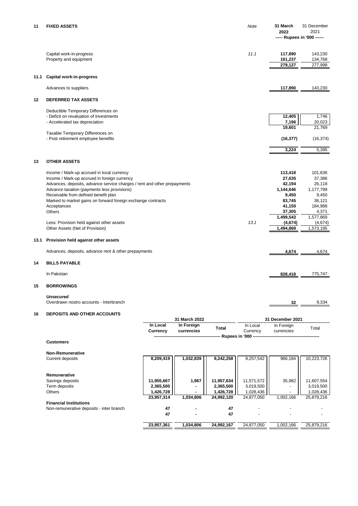| 11   | <b>FIXED ASSETS</b>                                                      | Note | 31 March  | 31 December                 |
|------|--------------------------------------------------------------------------|------|-----------|-----------------------------|
|      |                                                                          |      | 2022      | 2021                        |
|      |                                                                          |      |           | ----- Rupees in '000 ------ |
|      |                                                                          |      |           |                             |
|      | Capital work-in-progress                                                 | 11.1 | 117,890   | 143,230                     |
|      | Property and equipment                                                   |      | 161,237   | 134,768                     |
|      |                                                                          |      | 279,127   | 277,998                     |
|      |                                                                          |      |           |                             |
| 11.1 | <b>Capital work-in-progress</b>                                          |      |           |                             |
|      | Advances to suppliers                                                    |      | 117,890   | 143,230                     |
|      |                                                                          |      |           |                             |
| 12   | <b>DEFERRED TAX ASSETS</b>                                               |      |           |                             |
|      | Deductible Temporary Differences on                                      |      |           |                             |
|      | - Deficit on revaluation of investments                                  |      | 12,405    | 1,746                       |
|      | - Accelerated tax depreciation                                           |      | 7,196     | 20,023                      |
|      |                                                                          |      | 19,601    | 21,769                      |
|      | Taxable Temporary Differences on                                         |      |           |                             |
|      | - Post retirement employee benefits                                      |      | (16, 377) | (16, 374)                   |
|      |                                                                          |      | 3,224     | 5,395                       |
|      |                                                                          |      |           |                             |
| 13   | <b>OTHER ASSETS</b>                                                      |      |           |                             |
|      | Income / Mark-up accrued in local currency                               |      | 113,418   | 101,636                     |
|      | Income / Mark-up accrued in foreign currency                             |      | 27,635    | 37,386                      |
|      | Advances, deposits, advance service charges / rent and other prepayments |      | 42,194    | 26,118                      |
|      | Advance taxation (payments less provisions)                              |      | 1,144,646 | 1,177,799                   |
|      | Receivable from defined benefit plan                                     |      | 9,450     | 9,450                       |
|      | Marked to market gains on forward foreign exchange contracts             |      | 83,745    | 36,121                      |
|      | Acceptances                                                              |      | 41,150    | 184,988                     |
|      | <b>Others</b>                                                            |      | 37,305    | 4,371                       |
|      |                                                                          |      | 1,499,543 | 1,577,869                   |
|      | Less: Provision held against other assets                                | 13.1 | (4,674)   | (4,674)                     |
|      | Other Assets (Net of Provision)                                          |      | 1,494,869 | 1,573,195                   |
| 13.1 | Provision held against other assets                                      |      |           |                             |
|      |                                                                          |      |           |                             |
|      | Advances, deposits, advance rent & other prepayments                     |      | 4,674     | 4,674                       |
| 14   | <b>BILLS PAYABLE</b>                                                     |      |           |                             |
|      | In Pakistan                                                              |      | 828,418   | 775,747                     |
| 15   | <b>BORROWINGS</b>                                                        |      |           |                             |
|      |                                                                          |      |           |                             |

#### *Unsecured*

Overdrawn nostro accounts - Interbranch **32** 9,334

#### **16 DEPOSITS AND OTHER ACCOUNTS**

|                                          |                      | 31 March 2022            |            |                      | 31 December 2021         |            |
|------------------------------------------|----------------------|--------------------------|------------|----------------------|--------------------------|------------|
|                                          | In Local<br>Currency | In Foreign<br>currencies | Total      | In Local<br>Currency | In Foreign<br>currencies | Total      |
|                                          |                      |                          |            |                      |                          |            |
| <b>Customers</b>                         |                      |                          |            |                      |                          |            |
| <b>Non-Remunerative</b>                  |                      |                          |            |                      |                          |            |
| Current deposits                         | 8,209,419            | 1,032,839                | 9,242,258  | 9,257,542            | 966,184                  | 10,223,726 |
|                                          |                      |                          |            |                      |                          |            |
| Remunerative                             |                      |                          |            |                      |                          |            |
| Savings deposits                         | 11,955,667           | 1,967                    | 11,957,634 | 11,571,572           | 35,982                   | 11,607,554 |
| Term deposits                            | 2,365,500            |                          | 2,365,500  | 3,019,500            |                          | 3,019,500  |
| <b>Others</b>                            | 1,426,728            | ۰                        | 1,426,728  | 1,028,436            |                          | 1,028,436  |
|                                          | 23,957,314           | 1,034,806                | 24,992,120 | 24,877,050           | 1,002,166                | 25,879,216 |
| <b>Financial Institutions</b>            |                      |                          |            |                      |                          |            |
| Non-remunerative deposits - inter branch | 47                   | ۰                        | 47         |                      |                          |            |
|                                          | 47                   | ۰                        | 47         |                      |                          |            |
|                                          | 23,957,361           | 1,034,806                | 24,992,167 | 24,877,050           | 1,002,166                | 25,879,216 |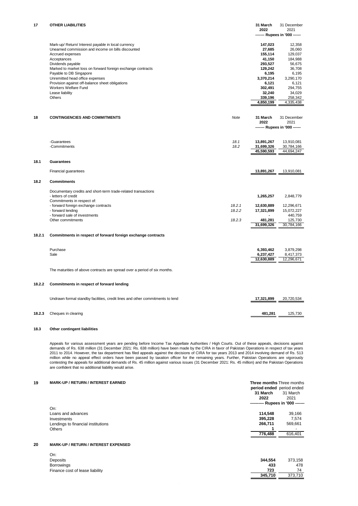| 17     | <b>OTHER LIABILITIES</b>                                                      |        | 31 March<br>2022 | 31 December<br>2021<br>------ Rupees in '000 ------ |
|--------|-------------------------------------------------------------------------------|--------|------------------|-----------------------------------------------------|
|        |                                                                               |        |                  |                                                     |
|        | Mark-up/ Return/ Interest payable in local currency                           |        | 147,023          | 12,358                                              |
|        | Unearned commission and income on bills discounted                            |        | 27,685           | 26,060                                              |
|        | Accrued expenses                                                              |        | 155,114          | 129,037                                             |
|        | Acceptances                                                                   |        | 41,150           | 184,988                                             |
|        | Dividends payable                                                             |        | 293,527          | 56,675                                              |
|        | Marked to market loss on forward foreign exchange contracts                   |        | 129,242          | 36,708                                              |
|        | Payable to DB Singapore                                                       |        | 6,195            | 6,195                                               |
|        | Unremitted head office expenses                                               |        | 3,370,214        | 3,290,170                                           |
|        | Provision against off-balance sheet obligations                               |        | 6,121            | 6,121                                               |
|        | Workers Welfare Fund                                                          |        | 302,491          | 294,755                                             |
|        | Lease liability                                                               |        | 32,240           | 34,029                                              |
|        | Others                                                                        |        | 339,196          | 258,342                                             |
|        |                                                                               |        | 4,850,199        | 4,335,438                                           |
|        |                                                                               |        |                  |                                                     |
| 18     | <b>CONTINGENCIES AND COMMITMENTS</b>                                          | Note   | 31 March         | 31 December                                         |
|        |                                                                               |        | 2022             | 2021                                                |
|        |                                                                               |        |                  | ------- Rupees in '000 ------                       |
|        |                                                                               |        |                  |                                                     |
|        | -Guarantees                                                                   | 18.1   | 13,891,267       | 13,910,081                                          |
|        | -Commitments                                                                  | 18.2   | 31,699,326       | 30,784,166                                          |
|        |                                                                               |        | 45,590,593       | 44,694,247                                          |
| 18.1   | <b>Guarantees</b>                                                             |        |                  |                                                     |
|        |                                                                               |        |                  |                                                     |
|        | Financial guarantees                                                          |        | 13,891,267       | 13,910,081                                          |
| 18.2   | <b>Commitments</b>                                                            |        |                  |                                                     |
|        | Documentary credits and short-term trade-related transactions                 |        |                  |                                                     |
|        | - letters of credit                                                           |        | 1,265,257        | 2,848,779                                           |
|        | Commitments in respect of:                                                    |        |                  |                                                     |
|        | - forward foreign exchange contracts                                          | 18.2.1 | 12,630,889       | 12,296,671                                          |
|        | - forward lending                                                             | 18.2.2 | 17,321,899       | 15,072,227                                          |
|        | - forward sale of investments                                                 |        |                  | 440,759                                             |
|        | Other commitments                                                             | 18.2.3 | 481,281          | 125,730                                             |
|        |                                                                               |        | 31,699,326       | 30,784,166                                          |
| 18.2.1 | Commitments in respect of forward foreign exchange contracts                  |        |                  |                                                     |
|        |                                                                               |        |                  |                                                     |
|        | Purchase                                                                      |        | 6,393,462        | 3,879,298                                           |
|        |                                                                               |        |                  |                                                     |
|        | Sale                                                                          |        | 6,237,427        | 8,417,373                                           |
|        |                                                                               |        | 12,630,889       | 12,296,671                                          |
|        | The maturities of above contracts are spread over a period of six months.     |        |                  |                                                     |
| 18.2.2 | Commitments in respect of forward lending                                     |        |                  |                                                     |
|        |                                                                               |        |                  |                                                     |
|        | Undrawn formal standby facilities, credit lines and other commitments to lend |        | 17,321,899       | 20,720,534                                          |
|        |                                                                               |        |                  |                                                     |
| 18.2.3 | Cheques in clearing                                                           |        | 481,281          | 125,730                                             |

#### **18.3 Other contingent liabilities**

Appeals for various assessment years are pending before Income Tax Appellate Authorities / High Courts. Out of these appeals, decisions against<br>demands of Rs. 638 million (31 December 2021: Rs. 638 million) have been made million while no appeal effect orders have been passed by taxation officer for the remaining years. Further, Pakistan Operations are vigorously contesting the appeals for additional demands of Rs. 45 million against various issues (31 December 2021: Rs. 45 million) and the Pakistan Operations are confident that no additional liability would arise.

| 19 | <b>MARK-UP / RETURN / INTEREST EARNED</b> | <b>Three months Three months</b><br>period ended period ended |                          |
|----|-------------------------------------------|---------------------------------------------------------------|--------------------------|
|    |                                           | 31 March<br>31 March                                          |                          |
|    |                                           | 2022<br>2021                                                  |                          |
|    |                                           | ---------- Rupees in '000 -------                             |                          |
|    | On:                                       |                                                               |                          |
|    | Loans and advances                        | 114.548                                                       | 39.166                   |
|    | Investments                               | 395,228                                                       | 7.574                    |
|    | Lendings to financial institutions        | 266.711                                                       | 569,661                  |
|    | <b>Others</b>                             |                                                               | $\overline{\phantom{0}}$ |
|    |                                           | 776,488                                                       | 616,401                  |
|    |                                           |                                                               |                          |

#### **20 MARK-UP / RETURN / INTEREST EXPENSED**

| On:                             |
|---------------------------------|
| Deposits                        |
| <b>Borrowings</b>               |
| Finance cost of lease liability |

| ---                             |         |         |
|---------------------------------|---------|---------|
| Deposits                        | 344.554 | 373.158 |
| <b>Borrowings</b>               | 433     | 478     |
| Finance cost of lease liability | 723     | 74      |
|                                 | 345.710 | 373.710 |
|                                 |         |         |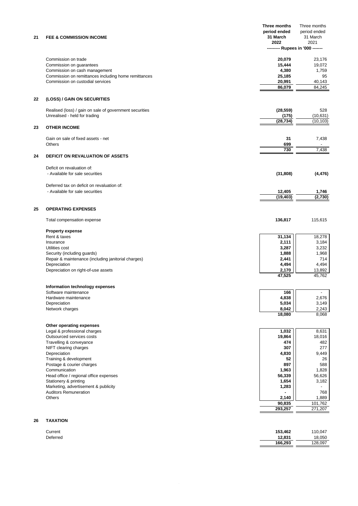|    |                                                               | Three months                     | Three months           |
|----|---------------------------------------------------------------|----------------------------------|------------------------|
|    |                                                               | period ended                     | period ended           |
| 21 | <b>FEE &amp; COMMISSION INCOME</b>                            | 31 March                         | 31 March               |
|    |                                                               | 2022<br>--------- Rupees in '000 | 2021<br>------         |
|    |                                                               |                                  |                        |
|    | Commission on trade                                           | 20,079                           | 23,176                 |
|    | Commission on guarantees                                      | 15,444                           | 19,072                 |
|    | Commission on cash management                                 | 4,380                            | 1,759                  |
|    | Commission on remittances including home remittances          | 25,185                           | 95                     |
|    | Commission on custodial services                              | 20,991                           | 40,143                 |
|    |                                                               | 86.079                           | 84,245                 |
| 22 | (LOSS) / GAIN ON SECURITIES                                   |                                  |                        |
|    |                                                               |                                  |                        |
|    | Realised (loss) / gain on sale of government securities       | (28, 559)                        | 528                    |
|    | Unrealised - held for trading                                 | (175)<br>(28, 734)               | (10, 631)<br>(10, 103) |
| 23 | <b>OTHER INCOME</b>                                           |                                  |                        |
|    |                                                               |                                  |                        |
|    | Gain on sale of fixed assets - net                            | 31                               | 7,438                  |
|    | Others                                                        | 699                              |                        |
|    |                                                               | 730                              | 7,438                  |
| 24 | <b>DEFICIT ON REVALUATION OF ASSETS</b>                       |                                  |                        |
|    | Deficit on revaluation of:                                    |                                  |                        |
|    | - Available for sale securities                               | (31, 808)                        | (4, 476)               |
|    |                                                               |                                  |                        |
|    | Deferred tax on deficit on revaluation of:                    |                                  |                        |
|    | - Available for sale securities                               | 12,405                           | 1,746                  |
|    |                                                               | (19, 403)                        | (2,730)                |
|    |                                                               |                                  |                        |
| 25 | <b>OPERATING EXPENSES</b>                                     |                                  |                        |
|    | Total compensation expense                                    | 136,817                          | 115,615                |
|    | <b>Property expense</b>                                       |                                  |                        |
|    | Rent & taxes                                                  | 31,134                           | 18,278                 |
|    | Insurance                                                     | 2,111                            | 3,184                  |
|    | Utilities cost                                                | 3,287                            | 3,232                  |
|    | Security (including guards)                                   | 1,888                            | 1,968                  |
|    | Repair & maintenance (including janitorial charges)           | 2,441                            | 714                    |
|    | Depreciation                                                  | 4,494                            | 4,494                  |
|    | Depreciation on right-of-use assets                           | 2,170<br>47,525                  | 13,892<br>45,762       |
|    |                                                               |                                  |                        |
|    | Information technology expenses                               |                                  |                        |
|    | Software maintenance                                          | 166                              |                        |
|    | Hardware maintenance                                          | 4,838                            | 2,676                  |
|    | Depreciation<br>Network charges                               | 5,034<br>8,042                   | 3,149<br>2,243         |
|    |                                                               | 18,080                           | 8.068                  |
|    |                                                               |                                  |                        |
|    | Other operating expenses                                      |                                  |                        |
|    | Legal & professional charges<br>Outsourced services costs     | 1,032<br>19,864                  | 8,631<br>18,016        |
|    | Travelling & conveyance                                       | 474                              | 482                    |
|    | NIFT clearing charges                                         | 307                              | 277                    |
|    | Depreciation                                                  | 4,830                            | 9,449                  |
|    | Training & development                                        | 52                               | 26                     |
|    | Postage & courier charges                                     | 897                              | 588                    |
|    | Communication                                                 | 1,963                            | 1,828                  |
|    | Head office / regional office expenses                        | 56,339                           | 56,626                 |
|    | Stationery & printing<br>Marketing, advertisement & publicity | 1,654<br>1,283                   | 3,182                  |
|    | <b>Auditors Remuneration</b>                                  |                                  | 768                    |
|    | <b>Others</b>                                                 | 2,140                            | 1,889                  |
|    |                                                               | 90,835                           | 101,762                |
|    |                                                               | 293,257                          | 271,207                |
|    |                                                               |                                  |                        |
| 26 | <b>TAXATION</b>                                               |                                  |                        |
|    | Current                                                       | 153,462                          | 110,047                |

Deferred **12,831** 18,050

 **166,293** 128,097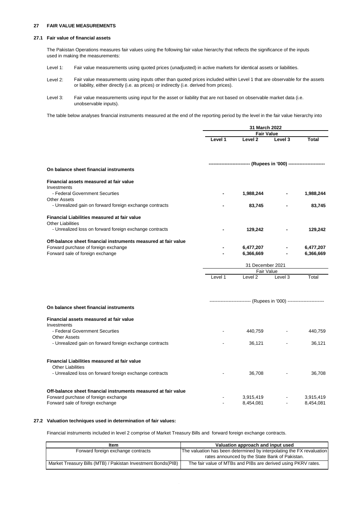#### **27 FAIR VALUE MEASUREMENTS**

#### **27.1 Fair value of financial assets**

The Pakistan Operations measures fair values using the following fair value hierarchy that reflects the significance of the inputs used in making the measurements:

- Level 1: Fair value measurements using quoted prices (unadjusted) in active markets for identical assets or liabilities.
- Level 2: Fair value measurements using inputs other than quoted prices included within Level 1 that are observable for the assets or liability, either directly (i.e. as prices) or indirectly (i.e. derived from prices).
- Level 3: Fair value measurements using input for the asset or liability that are not based on observable market data (i.e. unobservable inputs).

The table below analyses financial instruments measured at the end of the reporting period by the level in the fair value hierarchy into

|                                                                                                                                            |         | 31 March 2022                                                       |         |                        |
|--------------------------------------------------------------------------------------------------------------------------------------------|---------|---------------------------------------------------------------------|---------|------------------------|
|                                                                                                                                            |         | <b>Fair Value</b>                                                   |         |                        |
|                                                                                                                                            | Level 1 | Level 2                                                             | Level 3 | <b>Total</b>           |
|                                                                                                                                            |         |                                                                     |         |                        |
| On balance sheet financial instruments                                                                                                     |         |                                                                     |         |                        |
| Financial assets measured at fair value<br>Investments                                                                                     |         |                                                                     |         |                        |
| - Federal Government Securties<br><b>Other Assets</b>                                                                                      |         | 1,988,244                                                           |         | 1,988,244              |
| - Unrealized gain on forward foreign exchange contracts                                                                                    |         | 83,745                                                              |         | 83,745                 |
| <b>Financial Liabilities measured at fair value</b><br><b>Other Liabilities</b>                                                            |         |                                                                     |         |                        |
| - Unrealized loss on forward foreign exchange contracts                                                                                    |         | 129,242                                                             |         | 129,242                |
| Off-balance sheet financial instruments measured at fair value<br>Forward purchase of foreign exchange<br>Forward sale of foreign exchange |         | 6,477,207<br>6,366,669                                              |         | 6,477,207<br>6,366,669 |
|                                                                                                                                            |         |                                                                     |         |                        |
|                                                                                                                                            |         | 31 December 2021<br><b>Fair Value</b>                               |         |                        |
|                                                                                                                                            | Level 1 | Level <sub>2</sub>                                                  | Level 3 | Total                  |
|                                                                                                                                            |         |                                                                     |         |                        |
| On balance sheet financial instruments                                                                                                     |         | -------------------------- (Rupees in '000) ----------------------- |         |                        |
| Financial assets measured at fair value<br>Investments                                                                                     |         |                                                                     |         |                        |
| - Federal Government Securties<br><b>Other Assets</b>                                                                                      |         | 440,759                                                             |         | 440,759                |
| - Unrealized gain on forward foreign exchange contracts                                                                                    |         | 36,121                                                              |         | 36,121                 |
| Financial Liabilities measured at fair value<br><b>Other Liabilities</b>                                                                   |         |                                                                     |         |                        |
| - Unrealized loss on forward foreign exchange contracts                                                                                    |         | 36,708                                                              |         | 36,708                 |
| Off-balance sheet financial instruments measured at fair value                                                                             |         |                                                                     |         |                        |
| Forward purchase of foreign exchange                                                                                                       |         | 3,915,419                                                           |         | 3,915,419              |
| Forward sale of foreign exchange                                                                                                           |         | 8,454,081                                                           |         | 8,454,081              |

#### **27.2 Valuation techniques used in determination of fair values:**

Financial instruments included in level 2 comprise of Market Treasury Bills and forward foreign exchange contracts.

| ltem                                                          | Valuation approach and input used                                     |
|---------------------------------------------------------------|-----------------------------------------------------------------------|
| Forward foreign exchange contracts                            | The valuation has been determined by interpolating the FX revaluation |
|                                                               | rates announced by the State Bank of Pakistan.                        |
| Market Treasury Bills (MTB) / Pakistan Investment Bonds (PIB) | The fair value of MTBs and PIBs are derived using PKRV rates.         |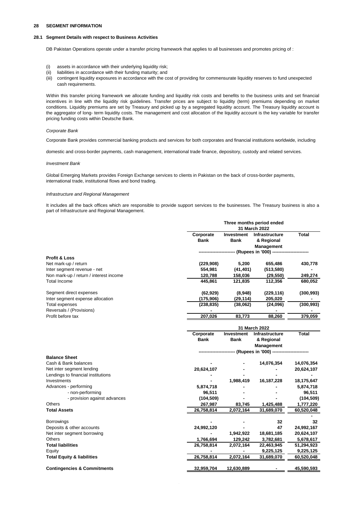#### **28 SEGMENT INFORMATION**

#### **28.1 Segment Details with respect to Business Activities**

DB Pakistan Operations operate under a transfer pricing framework that applies to all businesses and promotes pricing of :

- (i) assets in accordance with their underlying liquidity risk;
- (ii) liabilities in accordance with their funding maturity; and
- (iii) contingent liquidity exposures in accordance with the cost of providing for commensurate liquidity reserves to fund unexpected cash requirements.

Within this transfer pricing framework we allocate funding and liquidity risk costs and benefits to the business units and set financial incentives in line with the liquidity risk guidelines. Transfer prices are subject to liquidity (term) premiums depending on market conditions. Liquidity premiums are set by Treasury and picked up by a segregated liquidity account. The Treasury liquidity account is the aggregator of long- term liquidity costs. The management and cost allocation of the liquidity account is the key variable for transfer pricing funding costs within Deutsche Bank.

#### *Corporate Bank*

Corporate Bank provides commercial banking products and services for both corporates and financial institutions worldwide, including

domestic and cross-border payments, cash management, international trade finance, depository, custody and related services.

#### *Investment Bank*

Global Emerging Markets provides Foreign Exchange services to clients in Pakistan on the back of cross-border payments, international trade, institutional flows and bond trading.

#### *Infrastructure and Regional Management*

It includes all the back offices which are responsible to provide support services to the businesses. The Treasury business is also a part of Infrastructure and Regional Management.

| Corporate<br><b>Total</b><br>Investment<br>Infrastructure<br><b>Bank</b><br><b>Bank</b><br>& Regional<br><b>Management</b><br>-- (Rupees in '000) -----<br>Profit & Loss<br>Net mark-up / return<br>(229, 908)<br>5,200<br>655,486<br>430,778<br>(41, 401)<br>Inter segment revenue - net<br>554,981<br>(513,580)<br>Non mark-up / return / interest income<br>120,788<br>(29, 550)<br>249,274<br>158,036<br>Total Income<br>445,861<br>121,835<br>112,356<br>Segment direct expenses<br>(8,948)<br>(229, 116)<br>(62, 929)<br>Inter segment expense allocation<br>(175, 906)<br>(29, 114)<br>205,020<br><b>Total expenses</b><br>(238, 835)<br>(38,062)<br>(24,096)<br>Reversals / (Provisions)<br>$\blacksquare$<br>Profit before tax<br>207,026<br>83,773<br>88,260<br>31 March 2022<br>Corporate<br>Total<br>Investment<br>Infrastructure<br>Bank<br>Bank<br>& Regional<br>Management<br>----------- (Rupees in '000) ---------------<br><b>Balance Sheet</b><br>Cash & Bank balances<br>14,076,354<br>14,076,354<br>Net inter segment lending<br>20,624,107<br>20,624,107<br>Lendings to financial institutions<br>1,988,419<br>Investments<br>16,187,228<br>18,175,647<br>Advances - performing<br>5,874,718<br>5,874,718<br>- non-performing<br>96,511<br>96,511<br>- provision against advances<br>(104, 509)<br>Others<br>267,987<br>83,745<br>1,425,488<br>1,777,220<br><b>Total Assets</b><br>26,758,814<br>2,072,164<br>31,689,070<br>60,520,048<br>Borrowings<br>32<br>32<br>47<br>Deposits & other accounts<br>24,992,120<br>24,992,167<br>1,942,922<br>Net inter segment borrowing<br>18,681,185<br>20,624,107<br>Others<br>1,766,694<br>129,242<br>3,782,681<br><b>Total liabilities</b><br>26,758,814<br>2,072,164<br>22,463,945<br>51,294,923<br>Equity<br>9,225,125<br>26,758,814<br>2,072,164<br><b>Total Equity &amp; liabilities</b><br>31,689,070<br><b>Contingencies &amp; Commitments</b><br>32,959,704<br>12,630,889 |  | Three months period ended<br>31 March 2022 |            |
|------------------------------------------------------------------------------------------------------------------------------------------------------------------------------------------------------------------------------------------------------------------------------------------------------------------------------------------------------------------------------------------------------------------------------------------------------------------------------------------------------------------------------------------------------------------------------------------------------------------------------------------------------------------------------------------------------------------------------------------------------------------------------------------------------------------------------------------------------------------------------------------------------------------------------------------------------------------------------------------------------------------------------------------------------------------------------------------------------------------------------------------------------------------------------------------------------------------------------------------------------------------------------------------------------------------------------------------------------------------------------------------------------------------------------------------------------------------------------------------------------------------------------------------------------------------------------------------------------------------------------------------------------------------------------------------------------------------------------------------------------------------------------------------------------------------------------------------------------------------------------------------------------------------------------------------------|--|--------------------------------------------|------------|
|                                                                                                                                                                                                                                                                                                                                                                                                                                                                                                                                                                                                                                                                                                                                                                                                                                                                                                                                                                                                                                                                                                                                                                                                                                                                                                                                                                                                                                                                                                                                                                                                                                                                                                                                                                                                                                                                                                                                                |  |                                            |            |
|                                                                                                                                                                                                                                                                                                                                                                                                                                                                                                                                                                                                                                                                                                                                                                                                                                                                                                                                                                                                                                                                                                                                                                                                                                                                                                                                                                                                                                                                                                                                                                                                                                                                                                                                                                                                                                                                                                                                                |  |                                            |            |
|                                                                                                                                                                                                                                                                                                                                                                                                                                                                                                                                                                                                                                                                                                                                                                                                                                                                                                                                                                                                                                                                                                                                                                                                                                                                                                                                                                                                                                                                                                                                                                                                                                                                                                                                                                                                                                                                                                                                                |  |                                            |            |
|                                                                                                                                                                                                                                                                                                                                                                                                                                                                                                                                                                                                                                                                                                                                                                                                                                                                                                                                                                                                                                                                                                                                                                                                                                                                                                                                                                                                                                                                                                                                                                                                                                                                                                                                                                                                                                                                                                                                                |  |                                            |            |
|                                                                                                                                                                                                                                                                                                                                                                                                                                                                                                                                                                                                                                                                                                                                                                                                                                                                                                                                                                                                                                                                                                                                                                                                                                                                                                                                                                                                                                                                                                                                                                                                                                                                                                                                                                                                                                                                                                                                                |  |                                            |            |
|                                                                                                                                                                                                                                                                                                                                                                                                                                                                                                                                                                                                                                                                                                                                                                                                                                                                                                                                                                                                                                                                                                                                                                                                                                                                                                                                                                                                                                                                                                                                                                                                                                                                                                                                                                                                                                                                                                                                                |  |                                            | 680,052    |
|                                                                                                                                                                                                                                                                                                                                                                                                                                                                                                                                                                                                                                                                                                                                                                                                                                                                                                                                                                                                                                                                                                                                                                                                                                                                                                                                                                                                                                                                                                                                                                                                                                                                                                                                                                                                                                                                                                                                                |  |                                            | (300, 993) |
|                                                                                                                                                                                                                                                                                                                                                                                                                                                                                                                                                                                                                                                                                                                                                                                                                                                                                                                                                                                                                                                                                                                                                                                                                                                                                                                                                                                                                                                                                                                                                                                                                                                                                                                                                                                                                                                                                                                                                |  |                                            |            |
|                                                                                                                                                                                                                                                                                                                                                                                                                                                                                                                                                                                                                                                                                                                                                                                                                                                                                                                                                                                                                                                                                                                                                                                                                                                                                                                                                                                                                                                                                                                                                                                                                                                                                                                                                                                                                                                                                                                                                |  |                                            | (300, 993) |
|                                                                                                                                                                                                                                                                                                                                                                                                                                                                                                                                                                                                                                                                                                                                                                                                                                                                                                                                                                                                                                                                                                                                                                                                                                                                                                                                                                                                                                                                                                                                                                                                                                                                                                                                                                                                                                                                                                                                                |  |                                            | 379,059    |
|                                                                                                                                                                                                                                                                                                                                                                                                                                                                                                                                                                                                                                                                                                                                                                                                                                                                                                                                                                                                                                                                                                                                                                                                                                                                                                                                                                                                                                                                                                                                                                                                                                                                                                                                                                                                                                                                                                                                                |  |                                            |            |
|                                                                                                                                                                                                                                                                                                                                                                                                                                                                                                                                                                                                                                                                                                                                                                                                                                                                                                                                                                                                                                                                                                                                                                                                                                                                                                                                                                                                                                                                                                                                                                                                                                                                                                                                                                                                                                                                                                                                                |  |                                            |            |
|                                                                                                                                                                                                                                                                                                                                                                                                                                                                                                                                                                                                                                                                                                                                                                                                                                                                                                                                                                                                                                                                                                                                                                                                                                                                                                                                                                                                                                                                                                                                                                                                                                                                                                                                                                                                                                                                                                                                                |  |                                            |            |
|                                                                                                                                                                                                                                                                                                                                                                                                                                                                                                                                                                                                                                                                                                                                                                                                                                                                                                                                                                                                                                                                                                                                                                                                                                                                                                                                                                                                                                                                                                                                                                                                                                                                                                                                                                                                                                                                                                                                                |  |                                            |            |
|                                                                                                                                                                                                                                                                                                                                                                                                                                                                                                                                                                                                                                                                                                                                                                                                                                                                                                                                                                                                                                                                                                                                                                                                                                                                                                                                                                                                                                                                                                                                                                                                                                                                                                                                                                                                                                                                                                                                                |  |                                            |            |
|                                                                                                                                                                                                                                                                                                                                                                                                                                                                                                                                                                                                                                                                                                                                                                                                                                                                                                                                                                                                                                                                                                                                                                                                                                                                                                                                                                                                                                                                                                                                                                                                                                                                                                                                                                                                                                                                                                                                                |  |                                            |            |
|                                                                                                                                                                                                                                                                                                                                                                                                                                                                                                                                                                                                                                                                                                                                                                                                                                                                                                                                                                                                                                                                                                                                                                                                                                                                                                                                                                                                                                                                                                                                                                                                                                                                                                                                                                                                                                                                                                                                                |  |                                            |            |
|                                                                                                                                                                                                                                                                                                                                                                                                                                                                                                                                                                                                                                                                                                                                                                                                                                                                                                                                                                                                                                                                                                                                                                                                                                                                                                                                                                                                                                                                                                                                                                                                                                                                                                                                                                                                                                                                                                                                                |  |                                            |            |
|                                                                                                                                                                                                                                                                                                                                                                                                                                                                                                                                                                                                                                                                                                                                                                                                                                                                                                                                                                                                                                                                                                                                                                                                                                                                                                                                                                                                                                                                                                                                                                                                                                                                                                                                                                                                                                                                                                                                                |  |                                            |            |
|                                                                                                                                                                                                                                                                                                                                                                                                                                                                                                                                                                                                                                                                                                                                                                                                                                                                                                                                                                                                                                                                                                                                                                                                                                                                                                                                                                                                                                                                                                                                                                                                                                                                                                                                                                                                                                                                                                                                                |  |                                            |            |
|                                                                                                                                                                                                                                                                                                                                                                                                                                                                                                                                                                                                                                                                                                                                                                                                                                                                                                                                                                                                                                                                                                                                                                                                                                                                                                                                                                                                                                                                                                                                                                                                                                                                                                                                                                                                                                                                                                                                                |  |                                            |            |
|                                                                                                                                                                                                                                                                                                                                                                                                                                                                                                                                                                                                                                                                                                                                                                                                                                                                                                                                                                                                                                                                                                                                                                                                                                                                                                                                                                                                                                                                                                                                                                                                                                                                                                                                                                                                                                                                                                                                                |  |                                            | (104, 509) |
|                                                                                                                                                                                                                                                                                                                                                                                                                                                                                                                                                                                                                                                                                                                                                                                                                                                                                                                                                                                                                                                                                                                                                                                                                                                                                                                                                                                                                                                                                                                                                                                                                                                                                                                                                                                                                                                                                                                                                |  |                                            |            |
|                                                                                                                                                                                                                                                                                                                                                                                                                                                                                                                                                                                                                                                                                                                                                                                                                                                                                                                                                                                                                                                                                                                                                                                                                                                                                                                                                                                                                                                                                                                                                                                                                                                                                                                                                                                                                                                                                                                                                |  |                                            |            |
|                                                                                                                                                                                                                                                                                                                                                                                                                                                                                                                                                                                                                                                                                                                                                                                                                                                                                                                                                                                                                                                                                                                                                                                                                                                                                                                                                                                                                                                                                                                                                                                                                                                                                                                                                                                                                                                                                                                                                |  |                                            |            |
|                                                                                                                                                                                                                                                                                                                                                                                                                                                                                                                                                                                                                                                                                                                                                                                                                                                                                                                                                                                                                                                                                                                                                                                                                                                                                                                                                                                                                                                                                                                                                                                                                                                                                                                                                                                                                                                                                                                                                |  |                                            |            |
|                                                                                                                                                                                                                                                                                                                                                                                                                                                                                                                                                                                                                                                                                                                                                                                                                                                                                                                                                                                                                                                                                                                                                                                                                                                                                                                                                                                                                                                                                                                                                                                                                                                                                                                                                                                                                                                                                                                                                |  |                                            |            |
|                                                                                                                                                                                                                                                                                                                                                                                                                                                                                                                                                                                                                                                                                                                                                                                                                                                                                                                                                                                                                                                                                                                                                                                                                                                                                                                                                                                                                                                                                                                                                                                                                                                                                                                                                                                                                                                                                                                                                |  |                                            | 5,678,617  |
|                                                                                                                                                                                                                                                                                                                                                                                                                                                                                                                                                                                                                                                                                                                                                                                                                                                                                                                                                                                                                                                                                                                                                                                                                                                                                                                                                                                                                                                                                                                                                                                                                                                                                                                                                                                                                                                                                                                                                |  |                                            |            |
|                                                                                                                                                                                                                                                                                                                                                                                                                                                                                                                                                                                                                                                                                                                                                                                                                                                                                                                                                                                                                                                                                                                                                                                                                                                                                                                                                                                                                                                                                                                                                                                                                                                                                                                                                                                                                                                                                                                                                |  |                                            | 9,225,125  |
|                                                                                                                                                                                                                                                                                                                                                                                                                                                                                                                                                                                                                                                                                                                                                                                                                                                                                                                                                                                                                                                                                                                                                                                                                                                                                                                                                                                                                                                                                                                                                                                                                                                                                                                                                                                                                                                                                                                                                |  |                                            | 60,520,048 |
|                                                                                                                                                                                                                                                                                                                                                                                                                                                                                                                                                                                                                                                                                                                                                                                                                                                                                                                                                                                                                                                                                                                                                                                                                                                                                                                                                                                                                                                                                                                                                                                                                                                                                                                                                                                                                                                                                                                                                |  |                                            | 45,590,593 |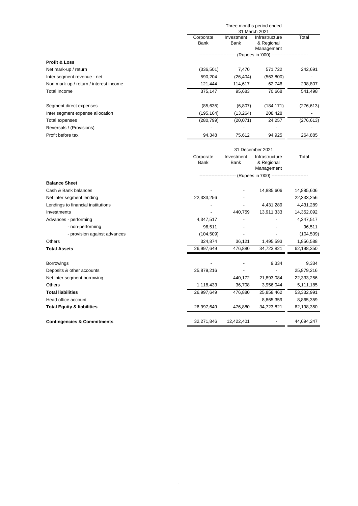|                                        |                          |                    | Three months period ended<br>31 March 2021    |            |
|----------------------------------------|--------------------------|--------------------|-----------------------------------------------|------------|
|                                        | Corporate<br><b>Bank</b> | Investment<br>Bank | Infrastructure<br>& Regional<br>Management    | Total      |
|                                        |                          |                    | --- (Rupees in '000) ------------------------ |            |
| <b>Profit &amp; Loss</b>               |                          |                    |                                               |            |
| Net mark-up / return                   | (336,501)                | 7,470              | 571,722                                       | 242,691    |
| Inter segment revenue - net            | 590,204                  | (26, 404)          | (563, 800)                                    |            |
| Non mark-up / return / interest income | 121,444                  | 114,617            | 62,746                                        | 298,807    |
| Total Income                           | 375,147                  | 95,683             | 70,668                                        | 541,498    |
| Segment direct expenses                | (85, 635)                | (6, 807)           | (184, 171)                                    | (276, 613) |
| Inter segment expense allocation       | (195, 164)               | (13,264)           | 208,428                                       |            |
| Total expenses                         | (280,799)                | (20,071)           | 24,257                                        | (276, 613) |
| Reversals / (Provisions)               |                          |                    |                                               |            |
| Profit before tax                      | 94,348                   | 75,612             | 94,925                                        | 264,885    |

|                                        |                   |                    | 31 December 2021                                                   |            |
|----------------------------------------|-------------------|--------------------|--------------------------------------------------------------------|------------|
|                                        | Corporate<br>Bank | Investment<br>Bank | Infrastructure<br>& Regional<br>Management                         | Total      |
|                                        |                   |                    | ------------------------ (Rupees in '000) ------------------------ |            |
| <b>Balance Sheet</b>                   |                   |                    |                                                                    |            |
| Cash & Bank balances                   |                   |                    | 14,885,606                                                         | 14,885,606 |
| Net inter segment lending              | 22,333,256        |                    |                                                                    | 22,333,256 |
| Lendings to financial institutions     |                   |                    | 4,431,289                                                          | 4,431,289  |
| Investments                            |                   | 440,759            | 13,911,333                                                         | 14,352,092 |
| Advances - performing                  | 4,347,517         |                    |                                                                    | 4,347,517  |
| - non-performing                       | 96,511            |                    |                                                                    | 96,511     |
| - provision against advances           | (104, 509)        |                    |                                                                    | (104, 509) |
| <b>Others</b>                          | 324,874           | 36,121             | 1,495,593                                                          | 1,856,588  |
| <b>Total Assets</b>                    | 26,997,649        | 476,880            | 34,723,821                                                         | 62,198,350 |
| <b>Borrowings</b>                      |                   |                    | 9,334                                                              | 9,334      |
| Deposits & other accounts              | 25,879,216        |                    |                                                                    | 25,879,216 |
| Net inter segment borrowing            |                   | 440,172            | 21,893,084                                                         | 22,333,256 |
| <b>Others</b>                          | 1,118,433         | 36,708             | 3,956,044                                                          | 5,111,185  |
| <b>Total liabilities</b>               | 26,997,649        | 476,880            | 25,858,462                                                         | 53,332,991 |
| Head office account                    |                   |                    | 8,865,359                                                          | 8,865,359  |
| <b>Total Equity &amp; liabilities</b>  | 26,997,649        | 476,880            | 34,723,821                                                         | 62,198,350 |
| <b>Contingencies &amp; Commitments</b> | 32,271,846        | 12,422,401         |                                                                    | 44,694,247 |
|                                        |                   |                    |                                                                    |            |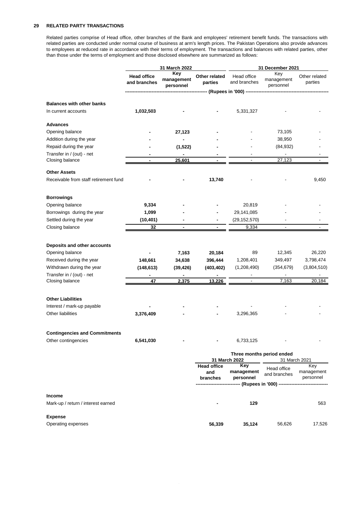#### **29 RELATED PARTY TRANSACTIONS**

Related parties comprise of Head office, other branches of the Bank and employees' retirement benefit funds. The transactions with related parties are conducted under normal course of business at arm's length prices. The Pakistan Operations also provide advances to employees at reduced rate in accordance with their terms of employment. The transactions and balances with related parties, other than those under the terms of employment and those disclosed elsewhere are summarized as follows:

|                                                         |                                    | 31 March 2022                  |                          |                                   | 31 December 2021                             |                          |  |
|---------------------------------------------------------|------------------------------------|--------------------------------|--------------------------|-----------------------------------|----------------------------------------------|--------------------------|--|
|                                                         | <b>Head office</b><br>and branches | Key<br>management<br>personnel | Other related<br>parties | Head office<br>and branches       | Key<br>management<br>personnel               | Other related<br>parties |  |
|                                                         |                                    |                                |                          | ------ (Rupees in '000) --------- |                                              |                          |  |
|                                                         |                                    |                                |                          |                                   |                                              |                          |  |
| <b>Balances with other banks</b><br>In current accounts | 1,032,503                          |                                |                          | 5,331,327                         |                                              |                          |  |
|                                                         |                                    |                                |                          |                                   |                                              |                          |  |
| <b>Advances</b>                                         |                                    |                                |                          |                                   |                                              |                          |  |
| Opening balance                                         |                                    | 27,123                         |                          |                                   | 73,105                                       |                          |  |
| Addition during the year                                |                                    | $\blacksquare$                 |                          |                                   | 38,950                                       |                          |  |
| Repaid during the year                                  |                                    | (1, 522)                       |                          |                                   | (84, 932)                                    |                          |  |
| Transfer in / (out) - net                               |                                    | $\blacksquare$                 |                          |                                   | $\sim$                                       |                          |  |
| Closing balance                                         |                                    | 25,601                         |                          |                                   | 27,123                                       |                          |  |
| <b>Other Assets</b>                                     |                                    |                                |                          |                                   |                                              |                          |  |
| Receivable from staff retirement fund                   |                                    |                                | 13,740                   |                                   |                                              | 9,450                    |  |
| <b>Borrowings</b>                                       |                                    |                                |                          |                                   |                                              |                          |  |
| Opening balance                                         | 9,334                              |                                |                          | 20,819                            |                                              |                          |  |
| Borrowings during the year                              | 1,099                              |                                |                          | 29,141,085                        |                                              |                          |  |
| Settled during the year                                 | (10, 401)                          |                                |                          | (29, 152, 570)                    |                                              |                          |  |
| Closing balance                                         | 32                                 |                                |                          | 9,334                             |                                              |                          |  |
|                                                         |                                    |                                |                          |                                   |                                              |                          |  |
| Deposits and other accounts                             |                                    |                                |                          |                                   |                                              |                          |  |
| Opening balance                                         |                                    | 7,163                          | 20,184                   | 89                                | 12,345                                       | 26,220                   |  |
| Received during the year                                | 148,661                            | 34,638                         | 396,444                  | 1,208,401                         | 349,497                                      | 3,798,474                |  |
| Withdrawn during the year                               | (148, 613)                         | (39, 426)                      | (403, 402)               | (1,208,490)                       | (354, 679)                                   | (3,804,510)              |  |
| Transfer in / (out) - net                               |                                    | $\blacksquare$                 | $\blacksquare$           |                                   | $\blacksquare$                               |                          |  |
| Closing balance                                         | 47                                 | 2,375                          | 13,226                   | $\overline{\phantom{a}}$          | 7,163                                        | 20,184                   |  |
| <b>Other Liabilities</b>                                |                                    |                                |                          |                                   |                                              |                          |  |
| Interest / mark-up payable                              |                                    |                                |                          |                                   |                                              |                          |  |
| Other liabilities                                       | 3,376,409                          |                                |                          | 3,296,365                         |                                              |                          |  |
|                                                         |                                    |                                |                          |                                   |                                              |                          |  |
| <b>Contingencies and Commitments</b>                    |                                    |                                |                          |                                   |                                              |                          |  |
| Other contingencies                                     | 6,541,030                          |                                |                          | 6,733,125                         |                                              |                          |  |
|                                                         |                                    |                                |                          | 31 March 2022                     | Three months period ended                    | 31 March 2021            |  |
|                                                         |                                    |                                | <b>Head office</b>       | Key                               |                                              | Key                      |  |
|                                                         |                                    |                                | and                      | management                        | Head office<br>and branches                  | management               |  |
|                                                         |                                    |                                | branches                 | personnel                         |                                              | personnel                |  |
|                                                         |                                    |                                |                          |                                   | --------------- (Rupees in '000) ----------- |                          |  |
| Income                                                  |                                    |                                |                          |                                   |                                              |                          |  |
| Mark-up / return / interest earned                      |                                    |                                |                          | 129                               |                                              | 563                      |  |
| <b>Expense</b>                                          |                                    |                                |                          |                                   |                                              |                          |  |
| Operating expenses                                      |                                    |                                | 56,339                   | 35,124                            | 56,626                                       | 17,526                   |  |